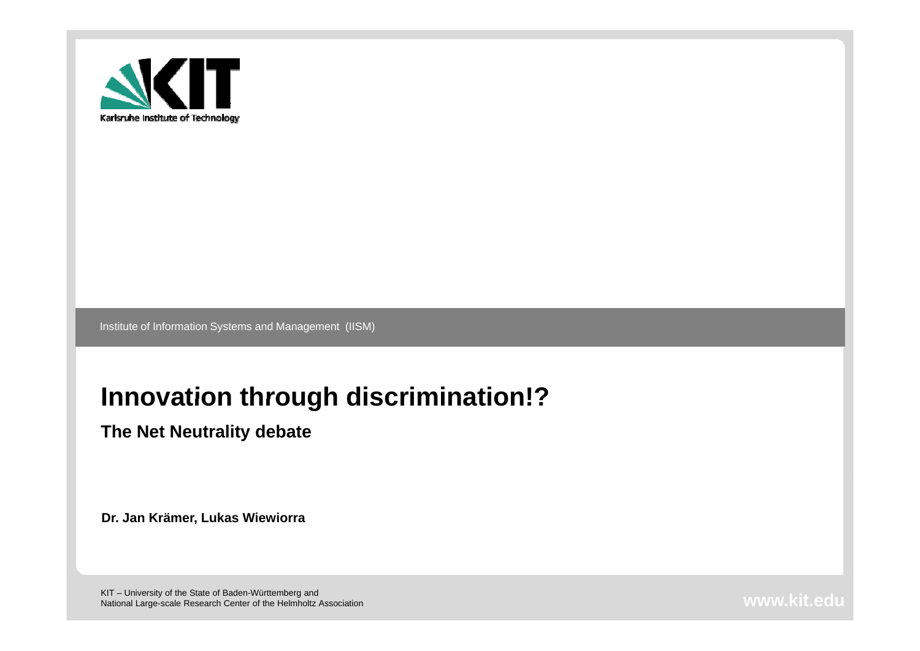

Institute of Information Systems and Management (IISM)

#### **Innovation through discrimination!?**

**The Net Neutrality debate** 

**Dr. Jan Krämer, Lukas Wiewiorra**

KIT – University of the State of Baden-Württemberg and National Large-scale Research Center of the Helmholtz Association **www.kit.edu.com/www.kit.edu.com/www.kit.edu.com**<br>National Large-scale Research Center of the Helmholtz Association **www.kit.edu.com/www.kit.edu.com/www.kit**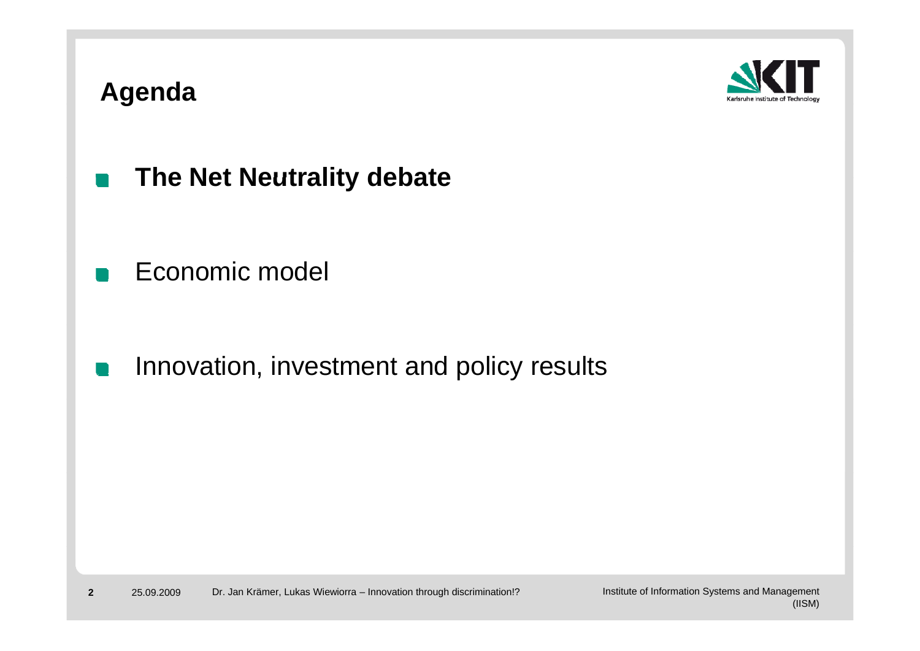#### **Agenda**



- **The Net Neutrality debate**  $\blacksquare$
- Economic model

Innovation, investment and policy results  $\mathbb{R}^n$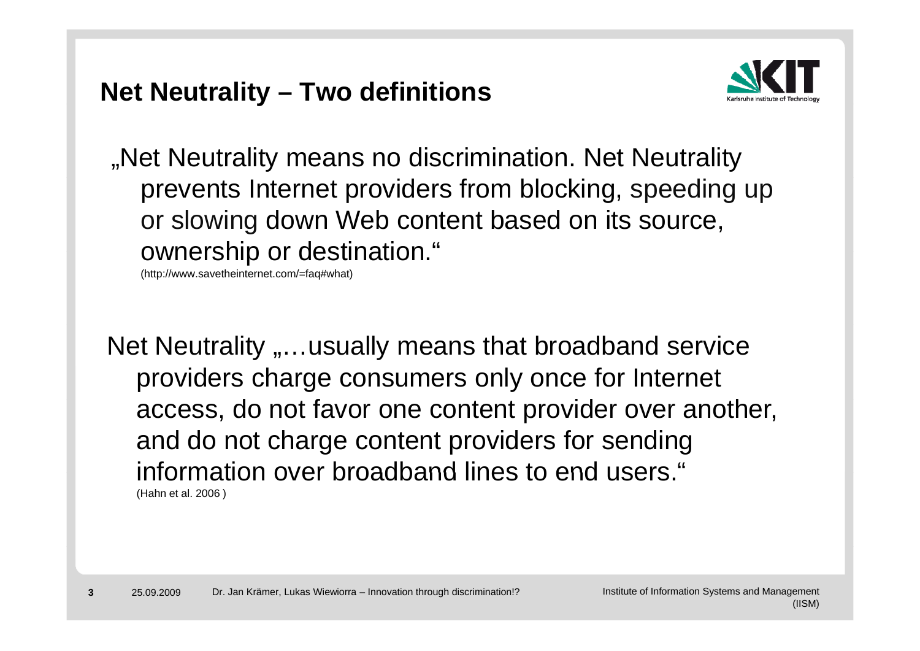#### **Net Neutrality – Two definitions**



".Net Neutrality means no discrimination. Net Neutrality prevents Internet providers from blocking, speeding up or slowing down Web content based on its source, ownership or destination."

(http://www.savetheinternet.com/=faq#what)

Net Neutrality "...usually means that broadband service providers charge consumers only once for Internet access, do not favor one content provider over another, and do not charge content providers for sending information over broadband lines to end users. " (Hahn et al. 2006 )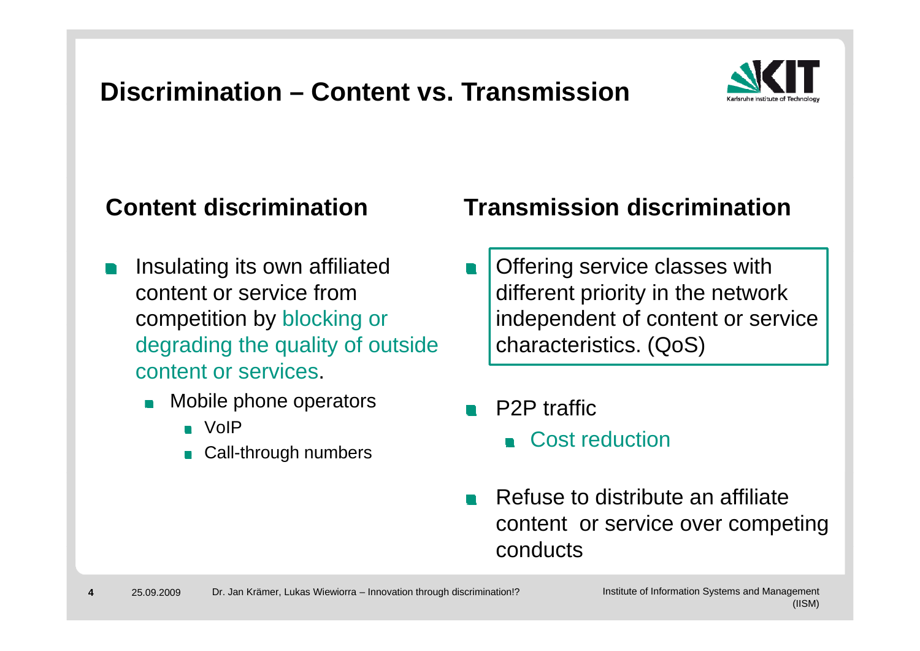## **Discrimination – Content vs. Transmission**



- Insulating its own affiliated content or service from competition by blocking or **Example 1** independent of content o degrading the quality of outside content or services.
	- Mobile phone operators **P2P** traffic
		- VoIP
		- Call-through numbers

#### **Content discrimination Transmission discrimination**

- Offering service classes with different priority in the network independent of content or service characteristics. (QoS)
- - **Cost reduction**
- Refuse to distribute an affiliate content or service over competing conducts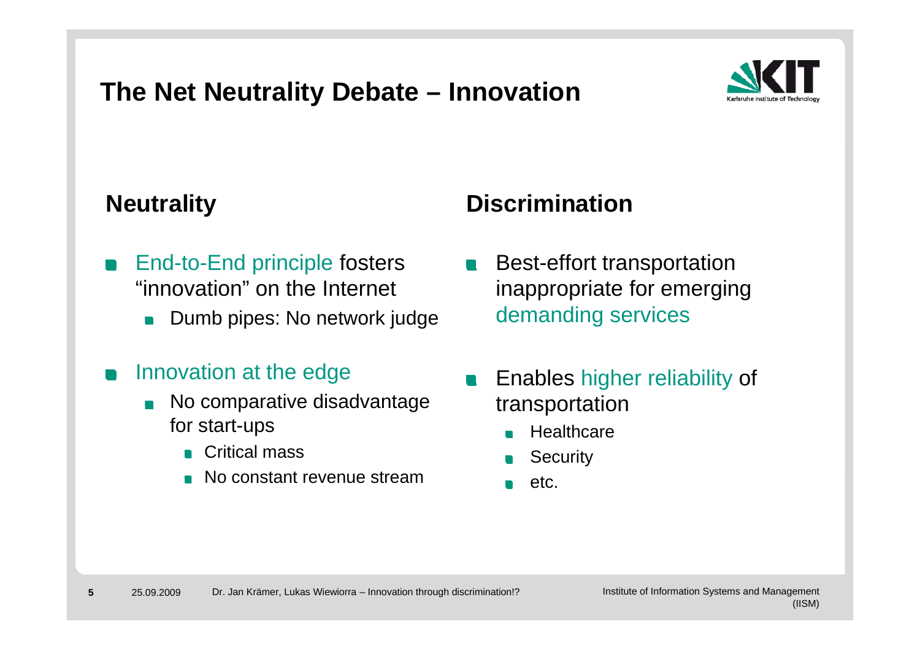#### **The Net Neutrality Debate – Innovation**



- End-to-End principle fosters "innovation" on the Internet
	- Dumb pipes: No network judge late demanding services  $\blacksquare$
- Innovation at the edge
	- No comparative disadvantage transportati for start-ups
		- Critical mass
		- No constant revenue stream

#### **Neutrality Manually Discrimination**

- **Best-effort transportation** inappropriate for emerging
- Enables higher reliability of transportation
	- **Healthcare**  $\blacksquare$ 
		- **Security**
	- $e$ tc.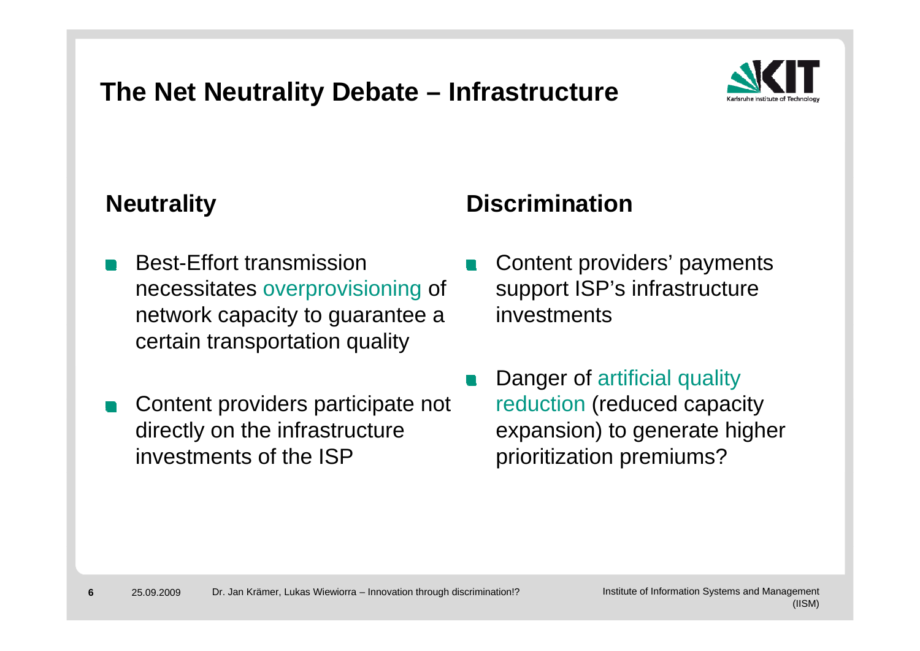#### **The Net Neutrality Debate – Infrastructure**



- Best-Effort transmission necessitates overprovisioning of network capacity to guarantee a wwinvestments certain transportation quality
- Content providers participate not deen reduction (reduced capacit directly on the infrastructure investments of the ISP

#### **Neutrality Manually Discrimination**

- Content providers' payments support ISP's infrastructure
- Danger of artificial quality reduction (reduced capacity expansion) to generate higher prioritization premiums?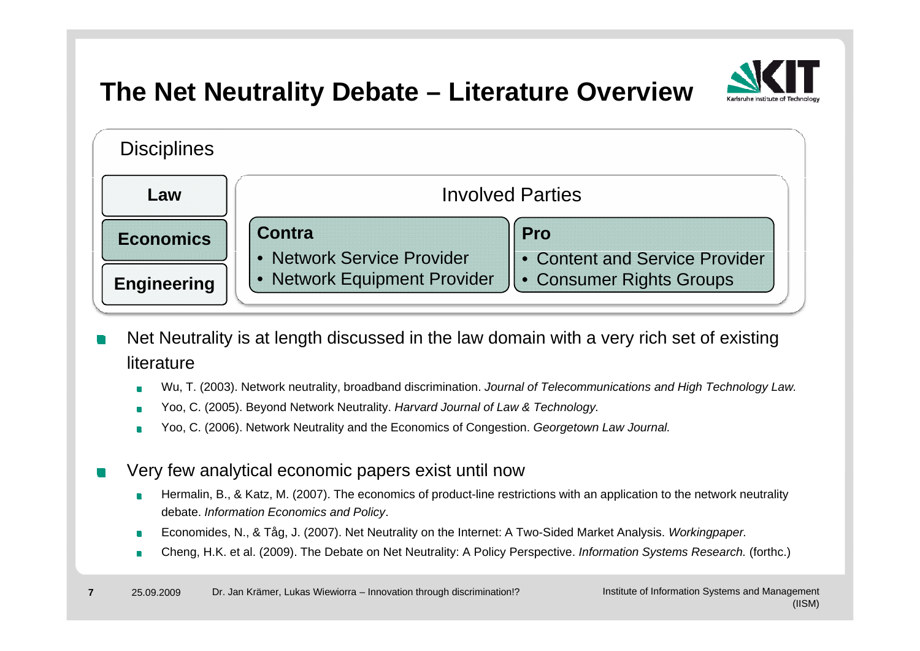

### **The Net Neutrality Debate – Literature Overview**



- Net Neutrality is at length discussed in the law domain with a very rich set of existing literature
	- Wu, T. (2003). Network neutrality, broadband discrimination. *Journal of Telecommunications and High Technology Law.*
	- Yoo, C. (2005). Beyond Network Neutrality. *Harvard Journal of Law & Technology.*
	- Yoo, C. (2006). Network Neutrality and the Economics of Congestion. *Georgetown Law Journal.*
- Very few analytical economic papers exist until now
	- Hermalin, B., & Katz, M. (2007). The economics of product-line restrictions with an application to the network neutrality debate. *Information Economics and Policy*.
	- Economides, N., & Tåg, J. (2007). Net Neutrality on the Internet: A Two-Sided Market Analysis. *Workingpaper.*
	- Cheng, H.K. et al. (2009). The Debate on Net Neutrality: A Policy Perspective. *Information Systems Research.* (forthc.)  $\blacksquare$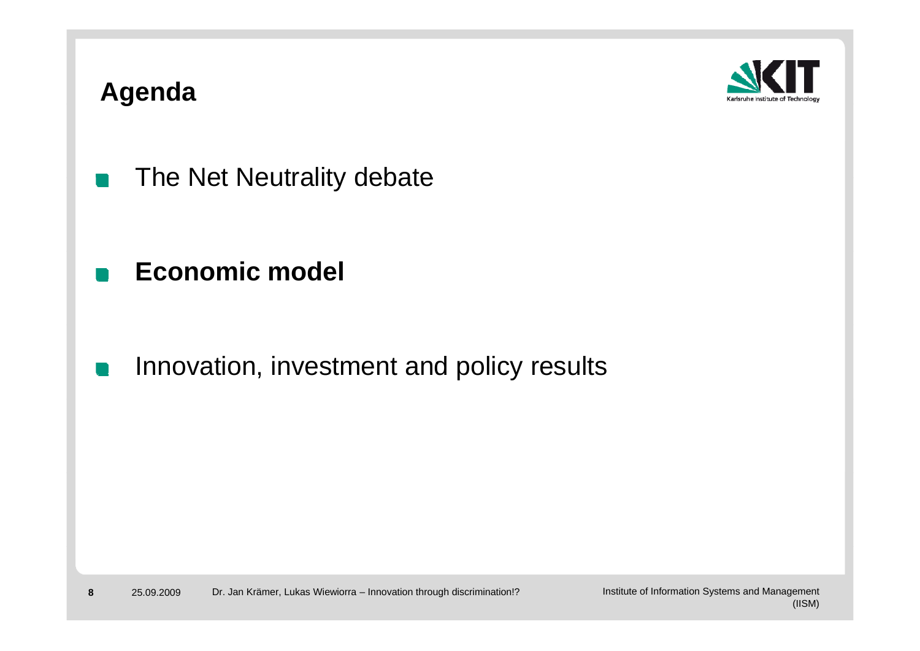#### **Agenda**



- The Net Neutrality debate  $\blacksquare$
- **Economic model**
- Innovation, investment and policy results  $\mathbb{R}^n$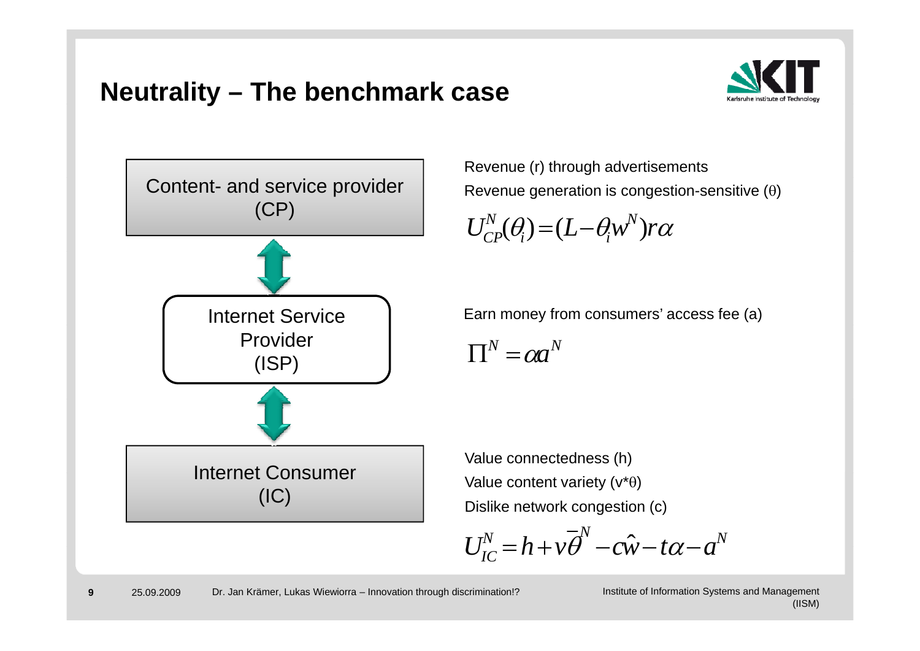#### **Neutrality – The benchmark case**





Revenue (r) through advertisements Revenue generation is congestion-sensitive  $(0)$ 

$$
U_{CP}^N(\theta_i) = (L - \theta_i w^N) r \alpha
$$

Internet Service 1 Earn money from consumers' access fee (a)

 $\prod^N = \alpha a^N$ 

 Value connectedness (h) Value content variety  $(v^*\theta)$ Dislike network congestion (c)

 $U_{IC}^N = h + v \overline{\theta}^N - c\hat{w} - t\alpha - a^N$ 

**9**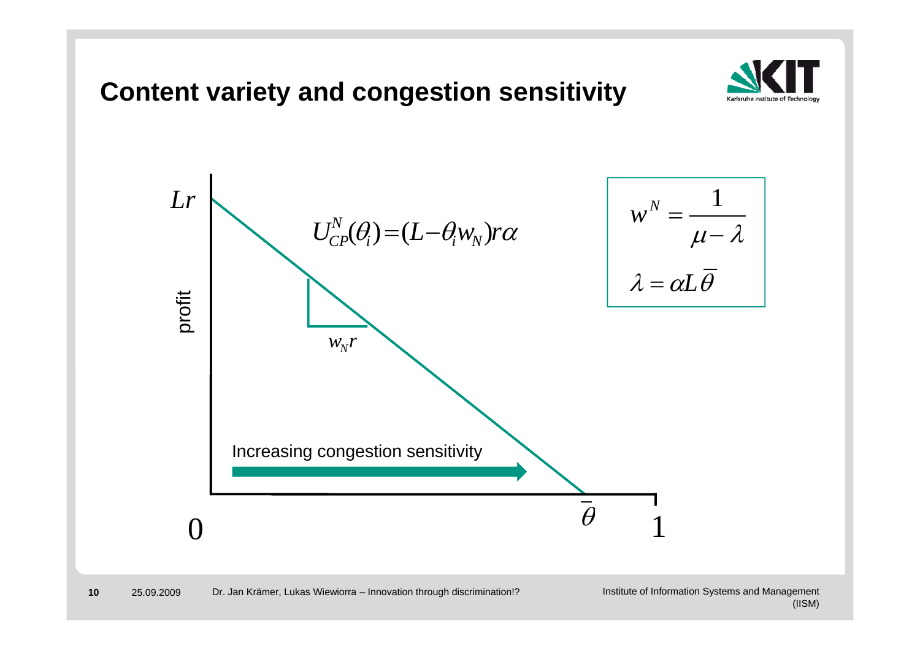**Content variety and congestion sensitivity** 

**10**



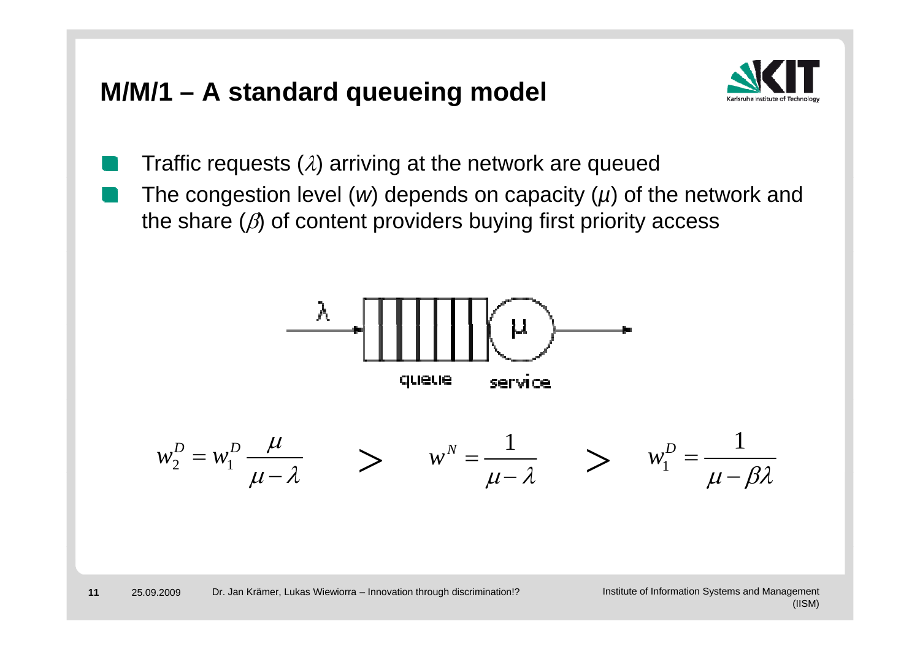#### **M/M/1 – A standard queueing model q g**



- Traffic requests  $(\lambda)$  arriving at the network are queued
- The congestion level (*w*) depends on capacity (*µ*) of the network and the share  $(\beta)$  of content providers buying first priority access

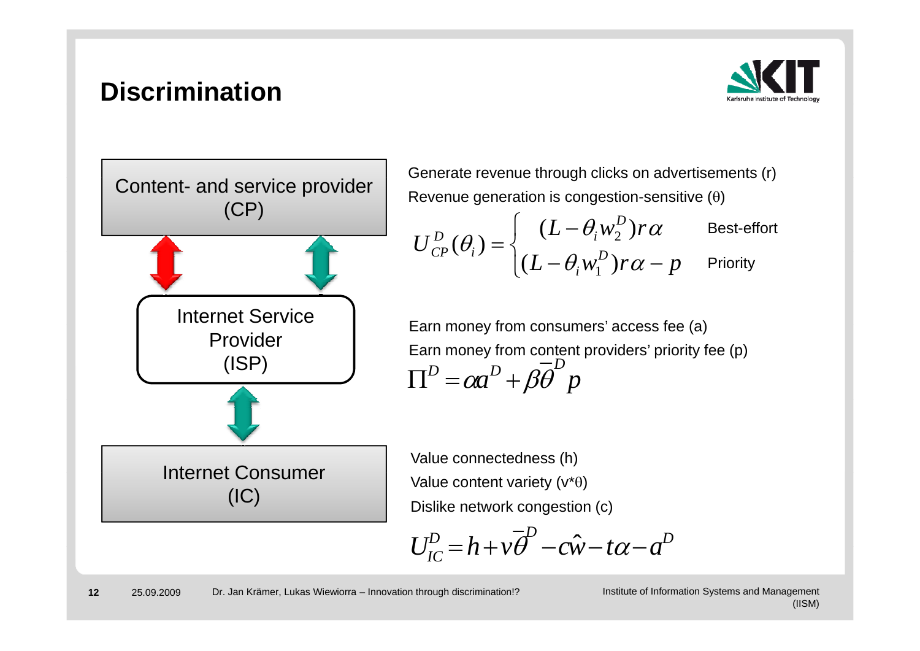#### **Discrimination**





Generate revenue through clicks on advertisements (r) Revenue generation is congestion-sensitive  $(\theta)$ 

 $U_{CP}^{D}(\theta_i) = \begin{cases} (L - \theta_i w_2^D) r \alpha & \text{Best-effort} \end{cases}$  $L_{CP}^{D}(\theta_i) = \begin{cases} (L - \theta_i w_1^D) r\alpha - p \end{cases}$  Priority

Earn money from consumers' access fee (a) Earn money from content providers' priority fee (p) *a p*  $\Pi^D = \alpha a^D + \beta \overline{\theta}^D$ 

Value content variety  $(v^*\theta)$ Dislike network congestion (c)

$$
U_{IC}^{D} = h + v\overline{\theta}^{D} - c\hat{w} - t\alpha - a^{D}
$$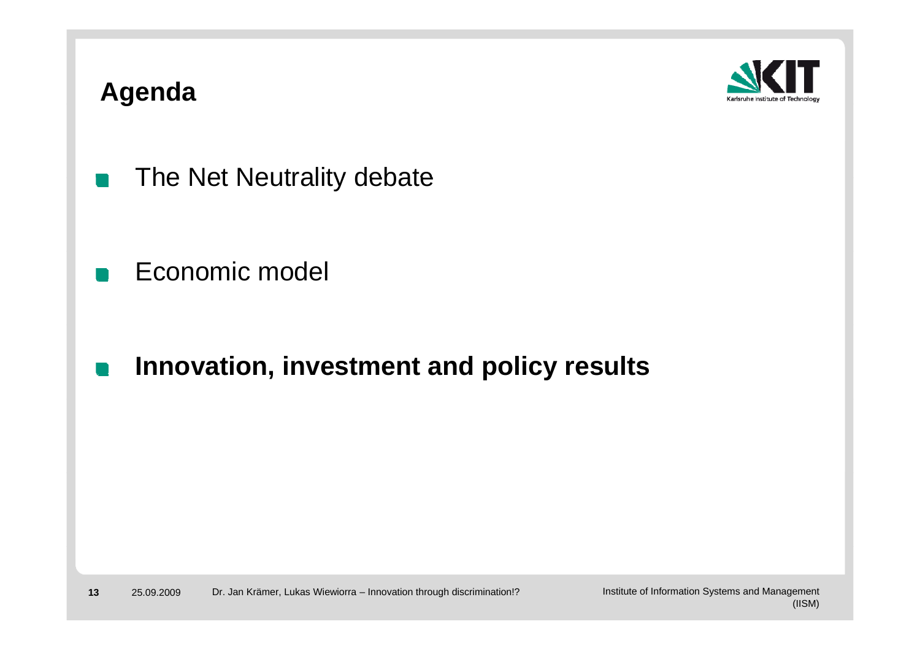#### **Agenda**



- The Net Neutrality debate  $\blacksquare$
- Economic model
- **Innovation, investment and policy results**  $\blacksquare$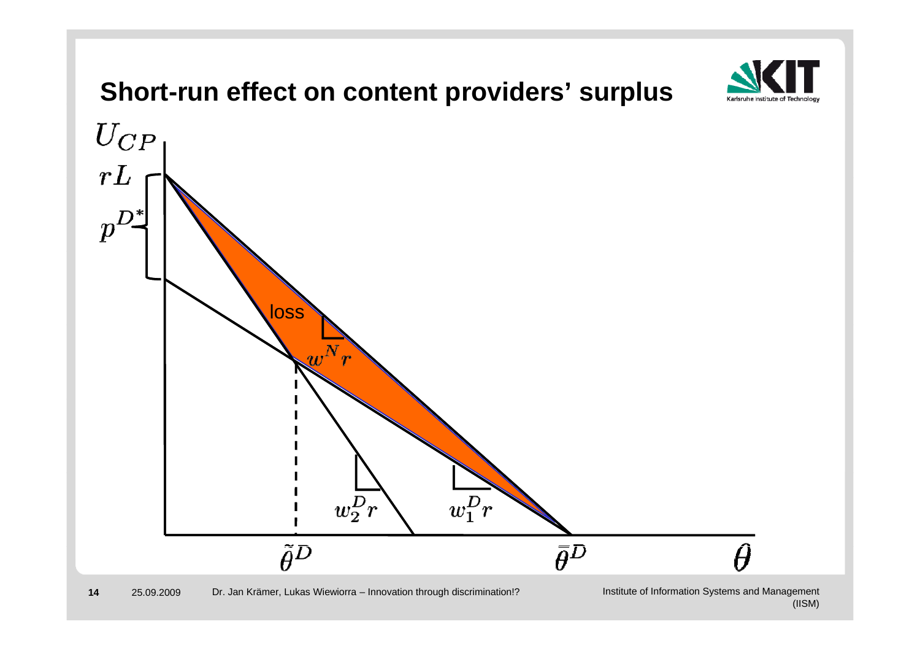

(IISM)

**14**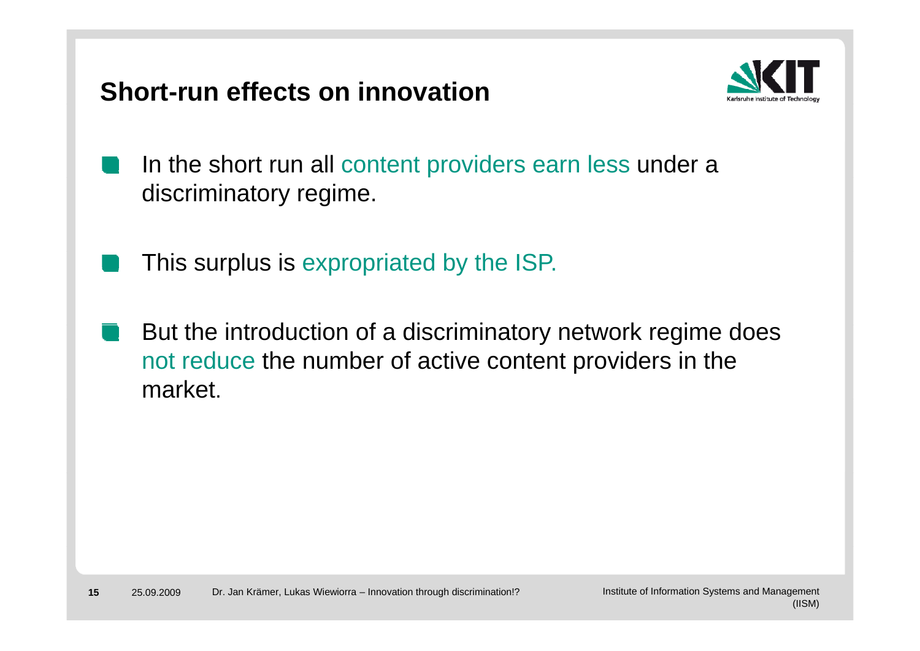**Short-run effects on innovation**



- In the short run all content providers earn less under a discriminatory regime.
	- This surplus is expropriated by the ISP.
- But the introduction of a discriminatory network regime does not reduce the number of active content providers in the market.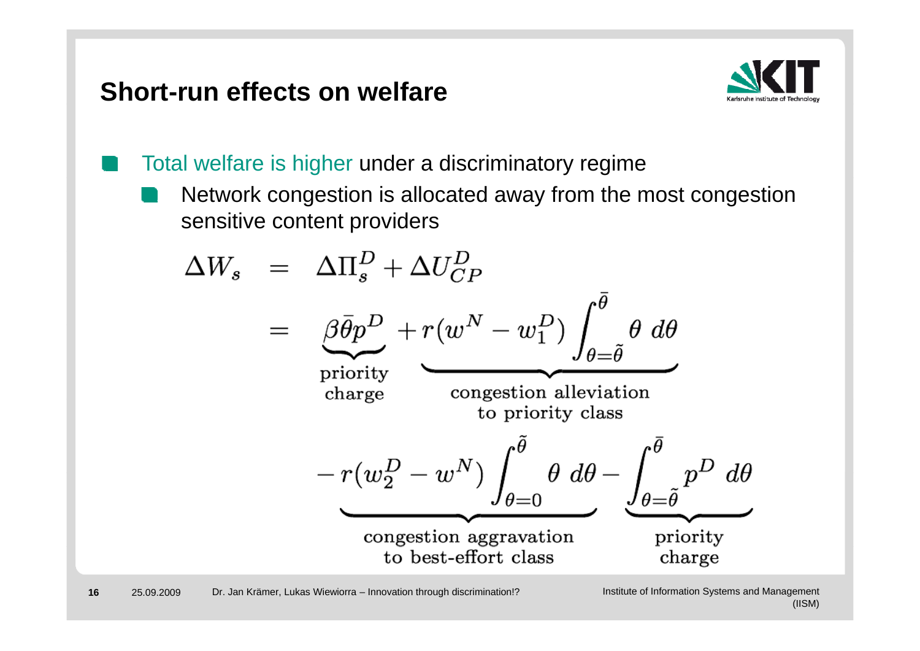#### **Short-run effects on welfare**



Total welfare is higher under a discriminatory regime

Network congestion is allocated away from the most congestion sensitive content providers

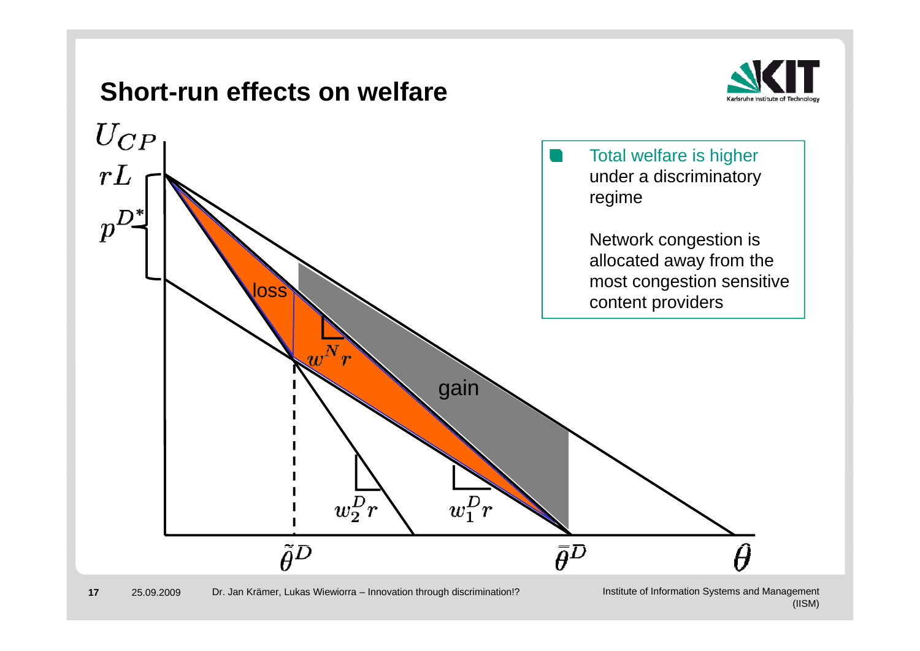### **Short-run effects on welfare**





#### 25.09.2009 Dr. Jan Krämer, Lukas Wiewiorra – Innovation through discrimination!?

**17**

Institute of Information Systems and Management (IISM)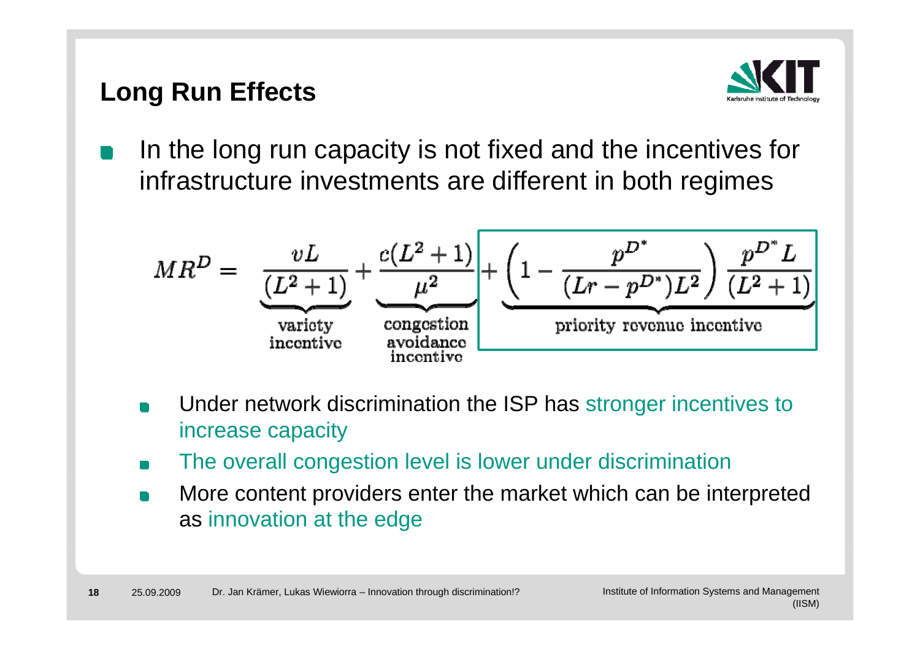### **Long Run Effects**



In the long run capacity is not fixed and the incentives for infrastructure investments are different in both regimes

$$
MR^{D} = \underbrace{\frac{vL}{(L^{2}+1)} + \frac{c(L^{2}+1)}{\mu^{2}}}_{\text{variety}} + \underbrace{\left(1 - \frac{p^{D^{*}}}{(Lr - p^{D^{*}})L^{2}}\right) \frac{p^{D^{*}}L}{(L^{2}+1)}}_{\text{prority revolution}
$$

- Under network discrimination the ISP has stronger incentives to increase capacity
- The overall congestion level is lower under discrimination
- More content providers enter the market which can be interpreted as innovation at the edge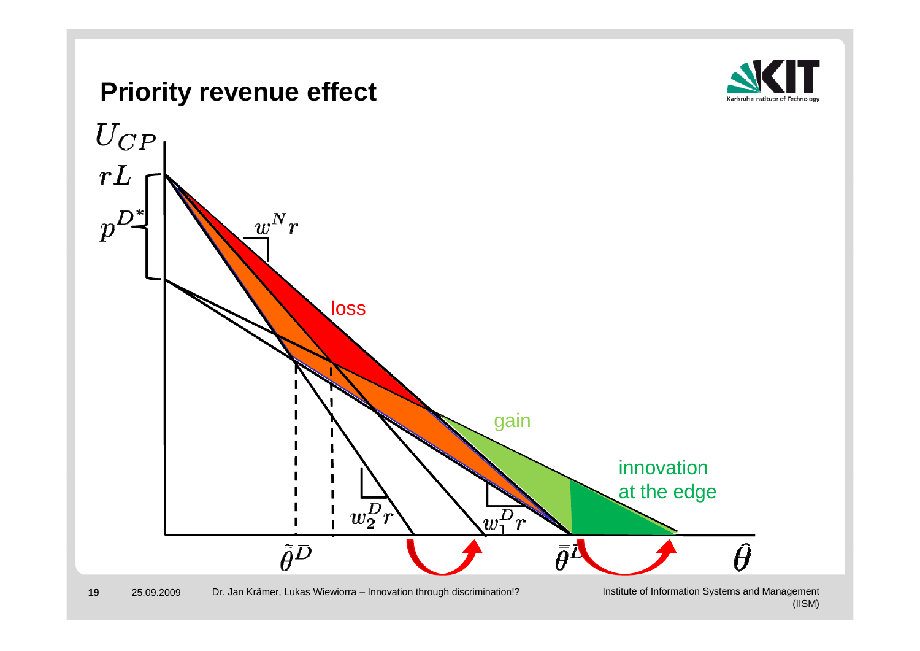

#### 25.09.2009 Dr. Jan Krämer, Lukas Wiewiorra – Innovation through discrimination!?

(IISM)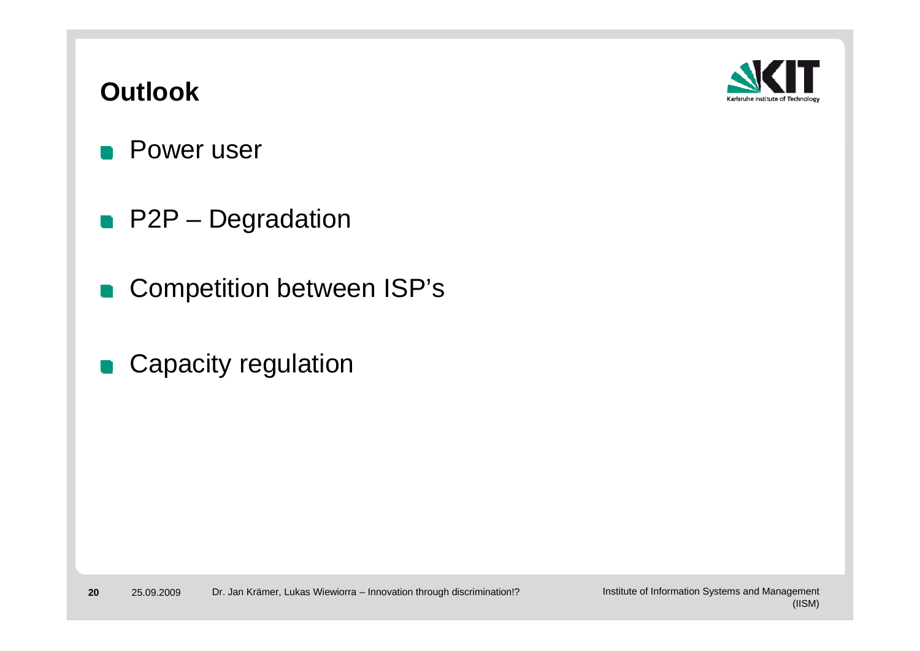#### **Outlook**



- **Power user**
- **P2P** Degradation
- Competition between ISP's
- Capacity regulation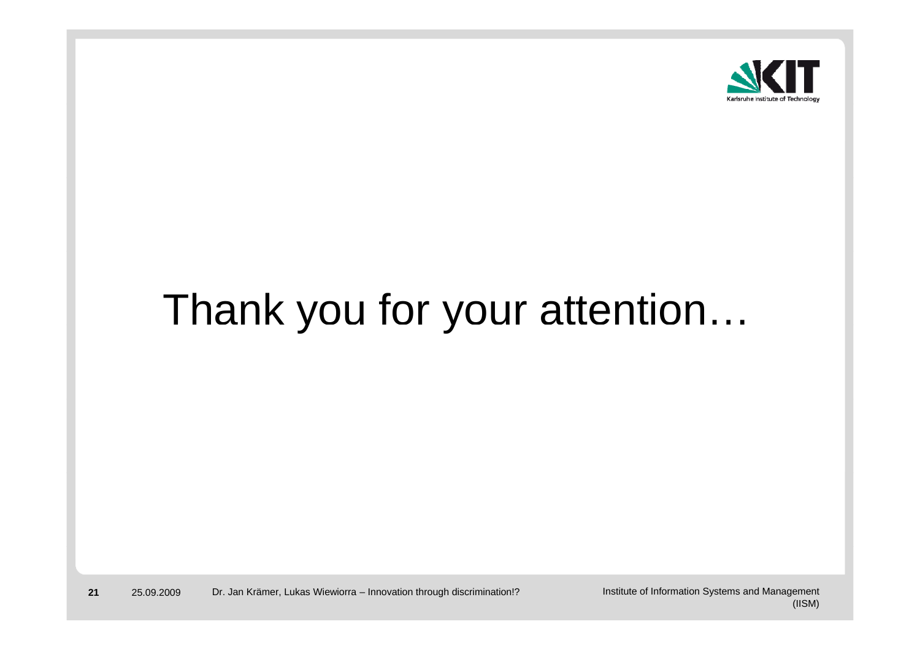

# Thank you for your attention...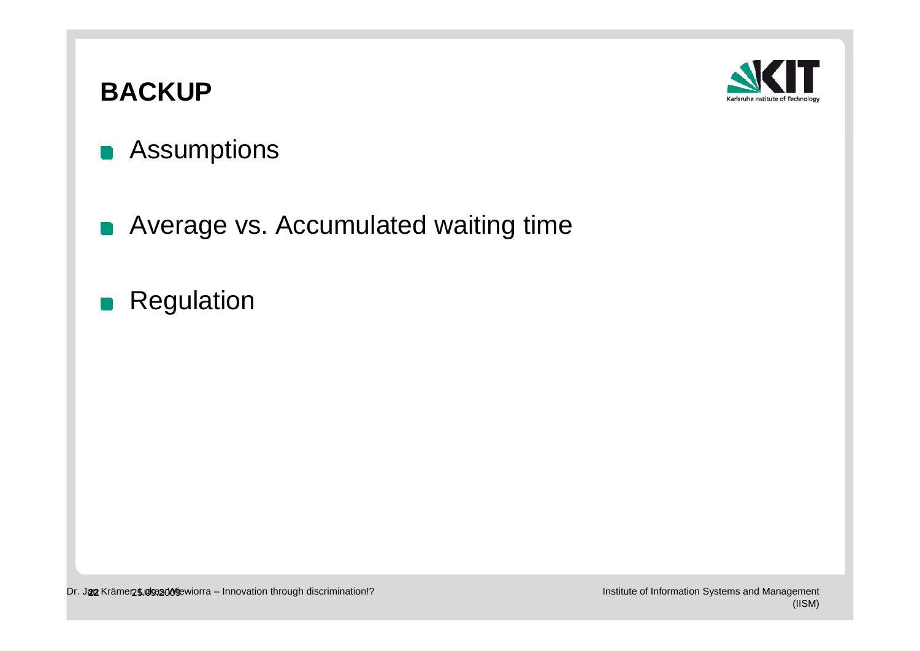# **BACKUP**



- **Assumptions**
- **Average vs. Accumulated waiting time**
- **Regulation**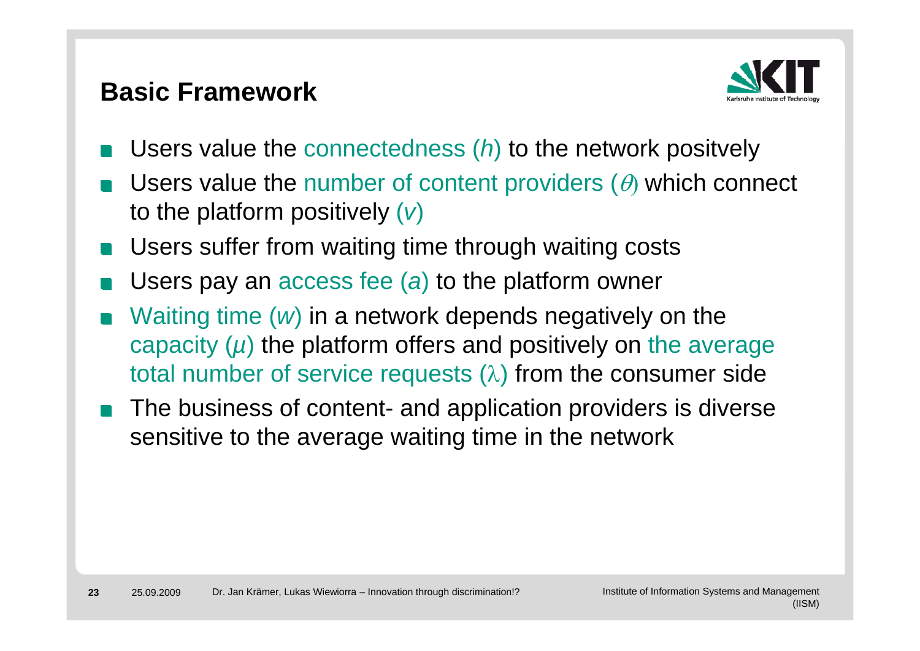#### **Basic Framework**



- Users value the connectedness (*h*) to the network positvely
- Users value the number of content providers ( $\theta$ ) which connect to the platform positively (*v*)
- **Notaking Users suffer from waiting time through waiting costs**
- Users pay an access fee (*a*) to the platform owner
- Waiting time (*w*) in a network depends negatively on the capacity (*µ*) the platform offers and positively on the average total number of service requests  $(\lambda)$  from the consumer side
- The business of content- and application providers is diverse sensitive to the average waiting time in the network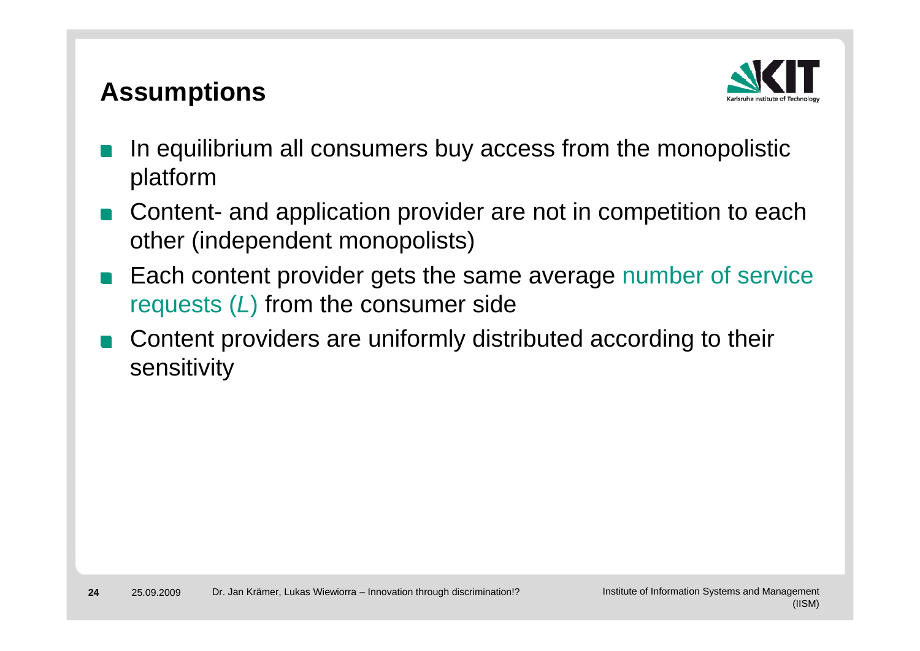### **Assumptions**



- In equilibrium all consumers buy access from the monopolistic platform
- Content- and application provider are not in competition to each other (independent monopolists)
- Each content provider gets the same average number of service requests (*L*) from the consumer side
- Content providers are uniformly distributed according to their sensitivity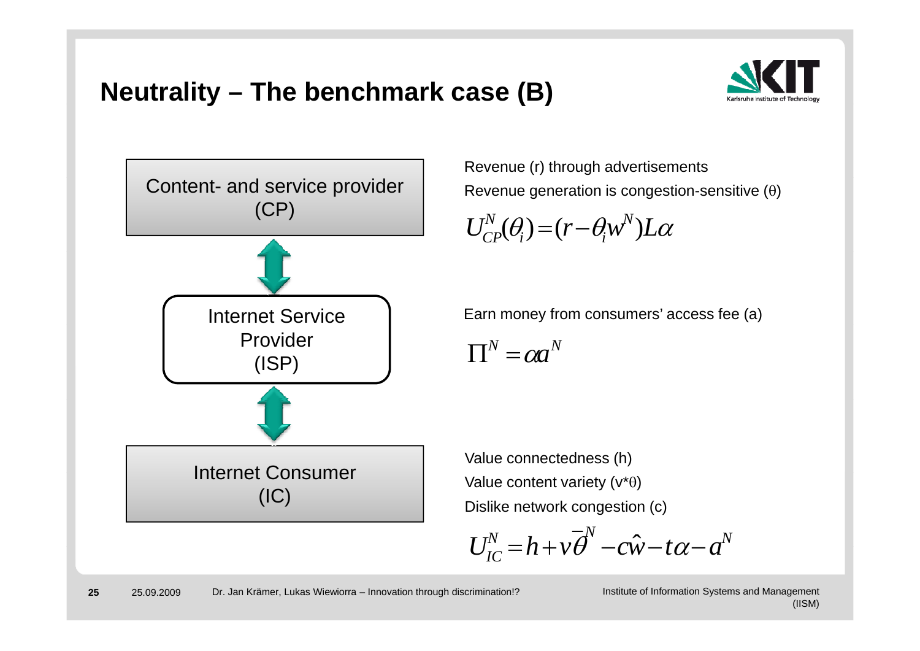#### **Neutrality – The benchmark case ( ) B**





Revenue (r) through advertisements Revenue generation is congestion-sensitive  $(\theta)$ 

$$
U_{CP}^{N}(\theta_i) = (r - \theta_i w^{N})L\alpha
$$

Internet Service | Earn money from consumers' access fee (a)

 $\prod^N = \alpha a^N$ 

 Value connectedness (h) Value content variety  $(v^*\theta)$ Dislike network congestion (c)

$$
U_{IC}^N = h + v\overline{\theta}^N - c\hat{w} - t\alpha - a^N
$$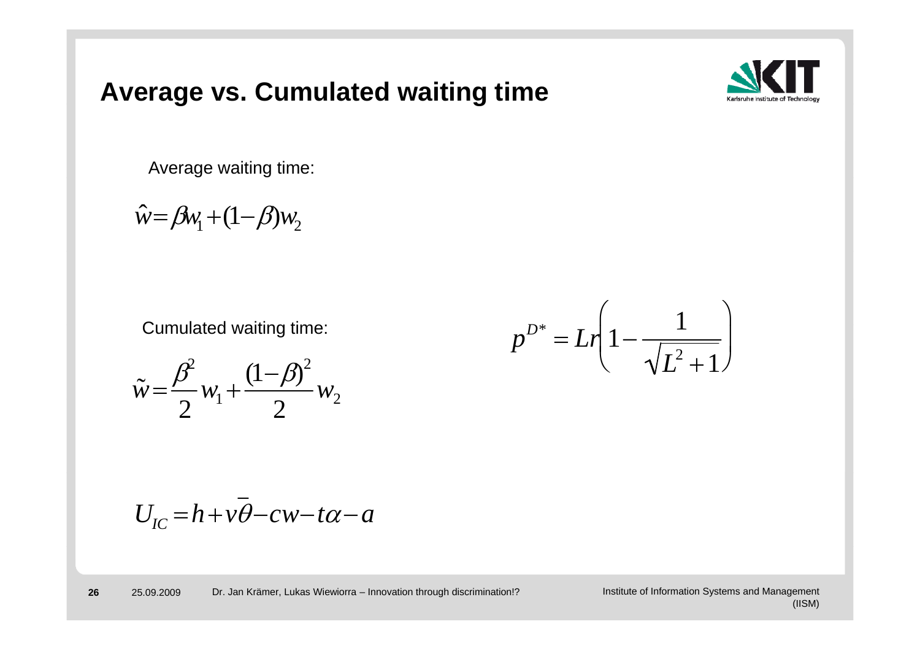#### **Averag g e vs. Cumulated waiting time**



Average waiting time:

$$
\hat{w} = \beta w_1 + (1 - \beta) w_2
$$

$$
\tilde{w} = \frac{\beta^2}{2} w_1 + \frac{(1 - \beta)^2}{2} w_2
$$

$$
U_{IC} = h + v\overline{\theta} - cw - t\alpha - a
$$



Cumulated waiting time:  
\n
$$
p^{D^*} = Lr \left(1 - \frac{1}{\sqrt{L^2 + 1}}\right)
$$
\n
$$
\beta^2 \qquad (1 - \beta)^2
$$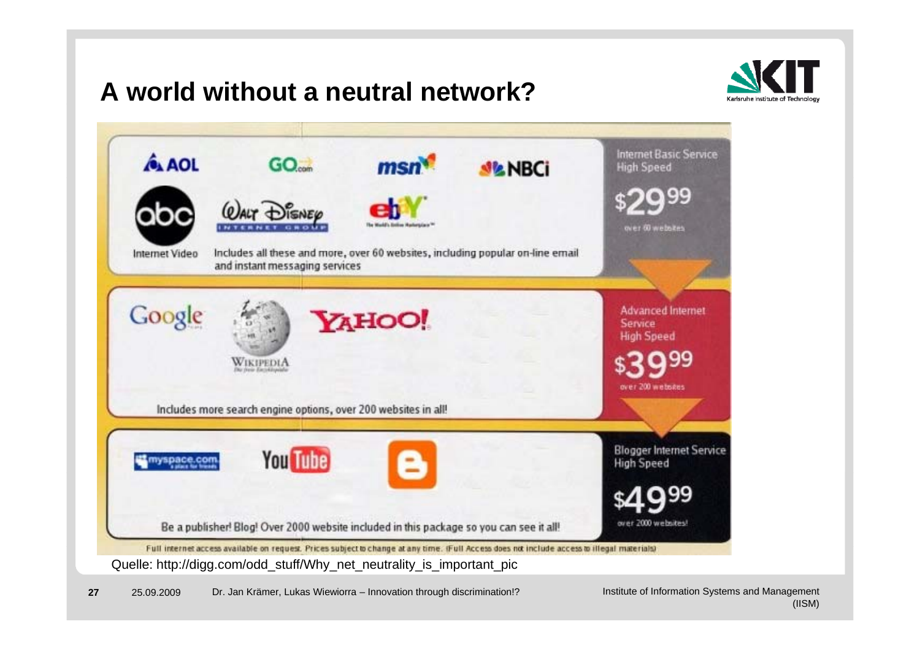#### **A world without a neutral network?**





**27** 25.09.2009 Dr. Jan Krämer, Lukas Wiewiorra – Innovation through discrimination!?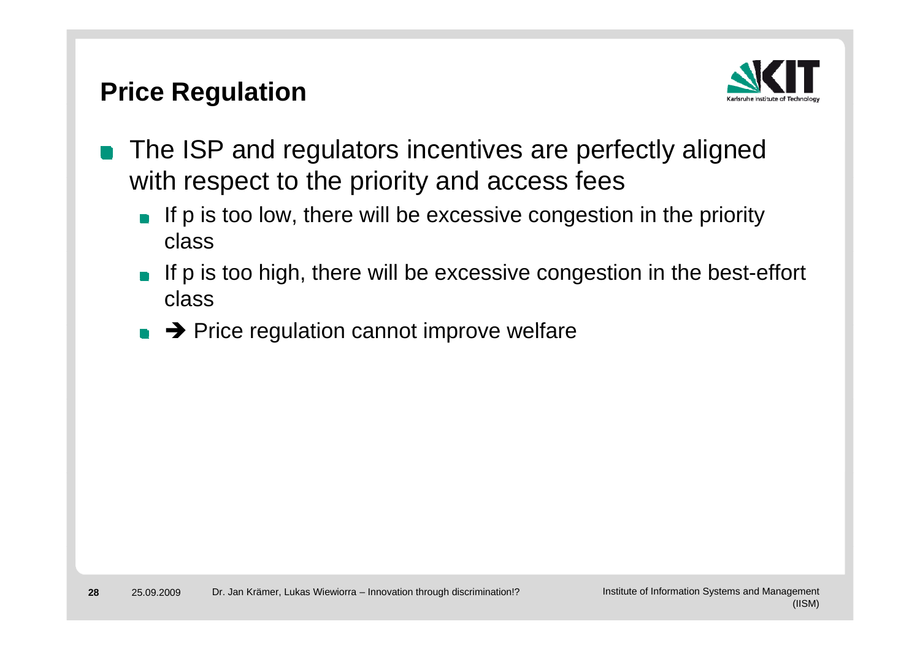#### **Price Regulation**



- The ISP and regulators incentives are perfectly aligned  $\mathbb{R}^n$ with respect to the priority and access fees
	- If p is too low, there will be excessive congestion in the priority class
	- If p is too high, there will be excessive congestion in the best-effort  $\Box$ class
	- $\rightarrow$  Price regulation cannot improve welfare